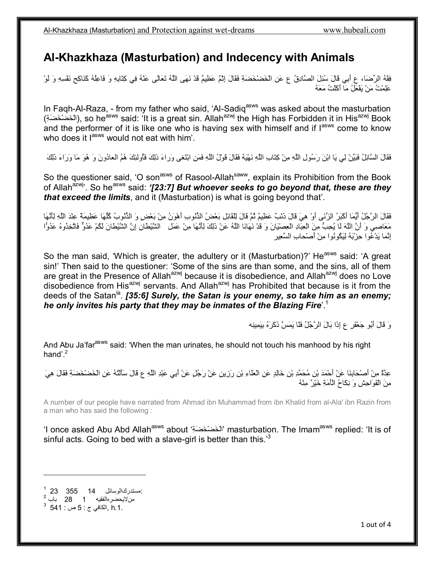## **Al-Khazkhaza (Masturbation) and Indecency with Animals**

فِقْھُ الرِّضَا، ع أَبِي قَالَ سُئِلَ الصَّادِقُ ع عَنِ الْخَضْخَضَةِ فَقَالَ إِثْمٌ عَظِیمٌ قَدْ نَھَى اللَّھُ تَعَالَى عَنْھُ فِي كِتَابِھِ وَ فَاعِلُھُ كَنَاكِحِ نَفْسِھِ وَ لَوْ عَلِمْتُ مَنْ یَفْعَلُ مَا أَكَلْتُ مَعَھُ

In Faqh-Al-Raza, - from my father who said, 'Al-Sadiq<sup>asws</sup> was asked about the masturbation (الْخَضْخْضَةِ), so he<sup>asws</sup> said: 'It is a great sin. Allah<sup>azwj</sup> the High has Forbidden it in His<sup>azwj</sup> Book and the performer of it is like one who is having sex with himself and if l<sup>asws</sup> come to know who does it lasws would not eat with him'.

فَقَالَ السَّائِلُ فَبَیِّنْ لِي یَا ابْنَ رَسُولِ اللَّھِ مِنْ كِتَابِ اللَّھِ نَھْیَھُ فَقَالَ قَوْلُ اللَّھِ فَمَنِ ابْتَغى وَراءَ ذلِكَ فَأُولئِكَ ھُمُ العادُونَ وَ ھُوَ مَا وَرَاءَ ذَلِكَ

So the questioner said, 'O son<sup>asws</sup> of Rasool-Allah<sup>saww</sup>, explain its Prohibition from the Book of Allah<sup>azwj</sup>'. So he<sup>asws</sup> said: '[23:7] But whoever seeks to go beyond that, these are they *that exceed the limits*, and it (Masturbation) is what is going beyond that'.

فَقَالَ الرَّجُلُ أَیُّمَا أَكْبَرُ الزِّنَى أَوْ ھِيَ قَالَ ذَنْبٌ عَظِیمٌ ثُمَّ قَالَ لِلْقَائِلِ بَعْضُ الذُّنُوبِ أَھْوَنُ مِنْ بَعْضٍ وَ الذُّنُوبُ كُلُّھَا عَظِیمَةٌ عِنْدَ اللَّھِ لِأَنَّھَا مَعَاصِي وَ أَنَّ اللَّھَ لَا یُحِبُّ مِنَ الْعِبَادِ الْعِصْیَانَ وَ قَدْ نَھَانَا اللَّھُ عَنْ ذَلِكَ لِأَنَّھَا مِنْ عَمَلِ الشَّیْطَانِ إِنَّ الشَّیْطانَ لَكُمْ عَدُوٌّ فَاتَّخِذُوهُ عَدُوا إِنَّما یَدْعُوا حِزْبَھُ لِیَكُونُوا مِنْ أَصْحابِ السَّعِیر

So the man said, 'Which is greater, the adultery or it (Masturbation)?' He<sup>asws</sup> said: 'A great sin!' Then said to the questioner: 'Some of the sins are than some, and the sins, all of them are great in the Presence of Allah<sup>azwj</sup> because it is disobedience, and Allah<sup>azwj</sup> does no Love disobedience from His<sup>azwj</sup> servants. And Allah<sup>azwj</sup> has Prohibited that because is it from the deeds of the Satan<sup>la</sup>. *[35:6] Surely, the Satan is your enemy, so take him as an enemy; he only invites his party that they may be inmates of the Blazing Fire*'.<sup>1</sup>

وَ قَالَ أَبُو جَعْفَرٍ ع إِذَا بَالَ الرَّجُلُ فَلَا یَمَسَّ ذَكَرَهُ بِیَمِینِھ

And Abu Ja'far<sup>asws</sup> said: 'When the man urinates, he should not touch his manhood by his right hand'. $2$ 

عِدَّةٌ مِنْ أَصْحَابِنَا عَنْ أَحْمَدَ بْنِ مُحَمَّدِ بْنِ خَالِدٍ عَنِ الْعَلَاءِ بْنِ رَزِينٍ عَنْ رَجُلٍ عَنْ أَبِي عَبْدِ اللَّهِ ع قَالَ سَأَلْتُهُ عَنِ الْخَضْخَضَةِ فَقَالَ هِيَ مِنَ الْفَوَاحِشِ وَ نِكَاحُ الْأَمَةِ خَیْرٌ مِنْھُ

A number of our people have narrated from Ahmad ibn Muhammad from ibn Khalid from al-Ala' ibn Razin from a man who has said the following :

'I once asked Abu Abd Allah<sup>asws</sup> about 'الْخَضْخَضَةِ' masturbation. The Imam<sup>asws</sup> replied: 'It is of sinful acts. Going to bed with a slave-girl is better than this. $3<sup>3</sup>$ 

1 :مستدركالوسائل 14 355 23  $2 - 28$  باب 28 من  $^3$  , الكافي ج : 5 ص  $\,$  541  $^3$  541  $\,$ 

-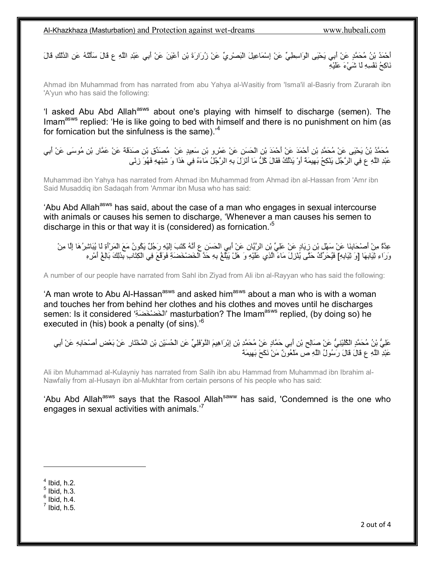Al-Khazkhaza (Masturbation) and Protection against wet-dreams www.hubeali.com

أَحْمَدُ بْنُ مُحَمَّدٍ عَنْ أَبِي یَحْیَى الْوَاسِطِيِّ عَنْ إِسْمَاعِیلَ الْبَصْرِيِّ عَنْ زُرَارَةَ بْنِ أَعْیَنَ عَنْ أَبِي عَبْدِ اللَّھِ ع قَالَ سَأَلْتُھُ عَنِ الدَّلْكِ قَالَ نَاكِحُ نَفْسِھِ لَا شَيْءَ عَلَیْھِ

Ahmad ibn Muhammad from has narrated from abu Yahya al-Wasitiy from 'Isma'il al-Basriy from Zurarah ibn 'A'yun who has said the following:

'l asked Abu Abd Allah<sup>asws</sup> about one's playing with himself to discharge (semen). The Imam<sup>asws</sup> replied: 'He is like going to bed with himself and there is no punishment on him (as for fornication but the sinfulness is the same).<sup>'4</sup>

مُحَمَّدُ بْنُ یَحْیَى عَنْ مُحَمَّدِ بْنِ أَحْمَدَ عَنْ أَحْمَدَ بْنِ الْحَسَنِ عَنْ عَمْرِو بْنِ سَعِیدٍ عَنْ مُصَدِّقِ بْنِ صَدَقَةَ عَنْ عَمَّارِ بْنِ مُوسَى عَنْ أَبِي عَبْدِ اللَّھِ ع فِي الرَّجُلِ یَنْكِحُ بَھِیمَةً أَوْ یَدْلُكُ فَقَالَ كُلُّ مَا أَنْزَلَ بِھِ الرَّجُلُ مَاءَهُ فِي ھَذَا وَ شِبْھِھِ فَھُوَ زِنًى

Muhammad ibn Yahya has narrated from Ahmad ibn Muhammad from Ahmad ibn al-Hassan from 'Amr ibn Said Musaddiq ibn Sadaqah from 'Ammar ibn Musa who has said:

'Abu Abd Allah<sup>asws</sup> has said, about the case of a man who engages in sexual intercourse with animals or causes his semen to discharge, 'Whenever a man causes his semen to discharge in this or that way it is (considered) as fornication.'<sup>5</sup>

عِدَّةٌ مِنْ أَصْحَابِنَا عَنْ سَھْلِ بْنِ زِیَادٍ عَنْ عَلِيِّ بْنِ الرَّیَّانِ عَنْ أَبِي الْحَسَنِ ع أَنَّھُ كَتَبَ إِلَیْھِ رَجُلٌ یَكُونُ مَعَ الْمَرْأَةِ لَا یُبَاشِرُھَا إِلَّا مِنْ .<br>وَرَاءِ ثِیَابِهَا [وَ ثِیَابِهِ] فَیُحَرِّكُ حَتَّى یُنْزِلَ مَاءَ الَّذِي عَلَیْهِ وَ هَلْ یَبْلُغُ بِهِ حَد

A number of our people have narrated from Sahl ibn Ziyad from Ali ibn al-Rayyan who has said the following:

'A man wrote to Abu Al-Hassan<sup>asws</sup> and asked him<sup>asws</sup> about a man who is with a woman and touches her from behind her clothes and his clothes and moves until he discharges semen: Is it considered 'ِةَضَخْضَخْال 'masturbation? The Imamasws replied, (by doing so) he executed in (his) book a penalty (of sins).<sup>'6</sup>

عَلِيُّ بْنُ مُحَمَّدٍ الْكُلَیْنِيُّ عَنْ صَالِحِ بْنِ أَبِي حَمَّادٍ عَنْ مُحَمَّدِ بْنِ إِبْرَاھِیمَ النَّوْفَلِيِّ عَنِ الْحُسَیْنِ بْنِ الْمُخْتَارِ عَنْ بَعْضِ أَصْحَابِھِ عَنْ أَبِي عَبْدِ اللَّھِ ع قَالَ قَالَ رَسُولُ اللَّھِ ص مَلْعُونٌ مَنْ نَكَحَ بَھِیمَةً

Ali ibn Muhammad al-Kulayniy has narrated from Salih ibn abu Hammad from Muhammad ibn Ibrahim al-Nawfaliy from al-Husayn ibn al-Mukhtar from certain persons of his people who has said:

'Abu Abd Allah<sup>asws</sup> says that the Rasool Allah<sup>saww</sup> has said, 'Condemned is the one who engages in sexual activities with animals.<sup>7</sup>

 $<sup>4</sup>$  Ibid, h.2.</sup>

**.** 

 $<sup>5</sup>$  Ibid, h.3.</sup>  $<sup>6</sup>$  Ibid, h.4.</sup>

 $<sup>7</sup>$  Ibid, h.5.</sup>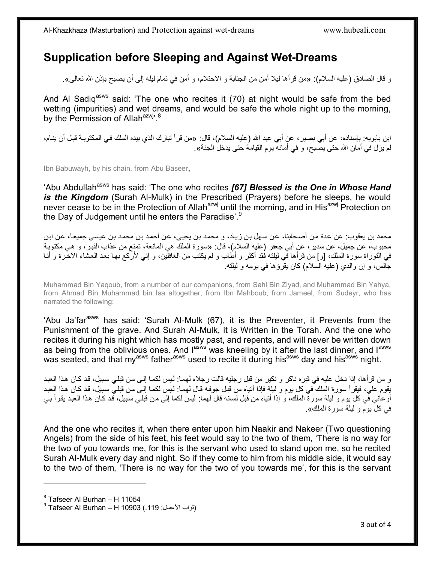## **Supplication before Sleeping and Against Wet-Dreams**

و قال الصادق (علیھ السلام): «من قرأھا لیلا أمن من الجنابة و الاحتلام، و أمن في تمام لیلھ إلى أن یصبح بإذن االله تعالى».

And Al Sadig<sup>asws</sup> said: 'The one who recites it (70) at night would be safe from the bed wetting (impurities) and wet dreams, and would be safe the whole night up to the morning, by the Permission of Allah<sup>azwj, 8</sup>

ابن بابویه: بإسناده، عن أبي بصیر، عن أبي عبد الله (علیه السلام)، قال: «من قرأ تبارك الذي بیده الملك في المكتوبة قبل أن ینـام، لم یزل في أمان االله حتى یصبح، و في أمانھ یوم القیامة حتى یدخل الجنة».

Ibn Babuwayh, by his chain, from Abu Baseer,

'Abu Abdullah<sup>asws</sup> has said: 'The one who recites **[67] Blessed is the One in Whose Hand** *is the Kingdom* (Surah Al-Mulk) in the Prescribed (Prayers) before he sleeps, he would never cease to be in the Protection of Allah<sup>azwj</sup> until the morning, and in His<sup>azwj</sup> Protection on the Day of Judgement until he enters the Paradise'.<sup>9</sup>

محمد بن یعقوب: عن عدة من أصـحابنا، عن سـهل بن زیـاد، و محمد بن یحیی، عن أحمد بن محمد بن عیسى جمیعا، عن ابن محبوب، عن جميل، عن سدير ، عن أبي جعفر (عليه السلام)، قال: «سورة الملك هي المانعة، تمنع من عذاب القبر ، و هي مكتوبـة في التوراة سورة الملك، [و] من قرأها في لیلته فُقد أكثر و أطاب و لم یكتب من الغافلین، و إني لأركع بها بعد العشاء الآخرة و أنـا جالس، و إن والدي (علیھ السلام) كان یقرؤھا في یومھ و لیلتھ.

Muhammad Bin Yaqoub, from a number of our companions, from Sahl Bin Ziyad, and Muhammad Bin Yahya, from Ahmad Bin Muhammad bin Isa altogether, from Ibn Mahboub, from Jameel, from Sudeyr, who has narrated the following:

'Abu Ja'far<sup>asws</sup> has said: 'Surah Al-Mulk (67), it is the Preventer, it Prevents from the Punishment of the grave. And Surah Al-Mulk, it is Written in the Torah. And the one who recites it during his night which has mostly past, and repents, and will never be written down as being from the oblivious ones. And lasive was kneeling by it after the last dinner, and lasive was seated, and that my<sup>asws</sup> father<sup>asws</sup> used to recite it during his<sup>asws</sup> day and his<sup>asws</sup> night.

و من قرأها، إذا دخل علیه في قبره ناكر و نكیر من قبل رجلیه قالت رجلاه لهما: لیس لكمـا إلـي من قبلـي سبیل، قد كـان هذا الـعبد یقوم علی، فیقرأ سورة الملك في كل یوم و لیلة فإذا أتیاه من قبل جوفه قال لهما: لیس لكمـا إلـي من قبلـي سبیل، قد كـان هذا الـعبد أوعاني في كل یوم و لیلة سورة الملك، و إذا أتیاه من قبل لسانه قال لهما: لیس لكما إلى من قبلي سبیل، قد كان هذا العبد یقرأ بـي في كل یوم و لیلة سورة الملك».

And the one who recites it, when there enter upon him Naakir and Nakeer (Two questioning Angels) from the side of his feet, his feet would say to the two of them, 'There is no way for the two of you towards me, for this is the servant who used to stand upon me, so he recited Surah Al-Mulk every day and night. So if they come to him from his middle side, it would say to the two of them, 'There is no way for the two of you towards me', for this is the servant

 $^8$  Tafseer Al Burhan – H 11054

1

<sup>9 (</sup>ٹواب الأعمال: 119.) Tafseer Al Burhan – H 10903